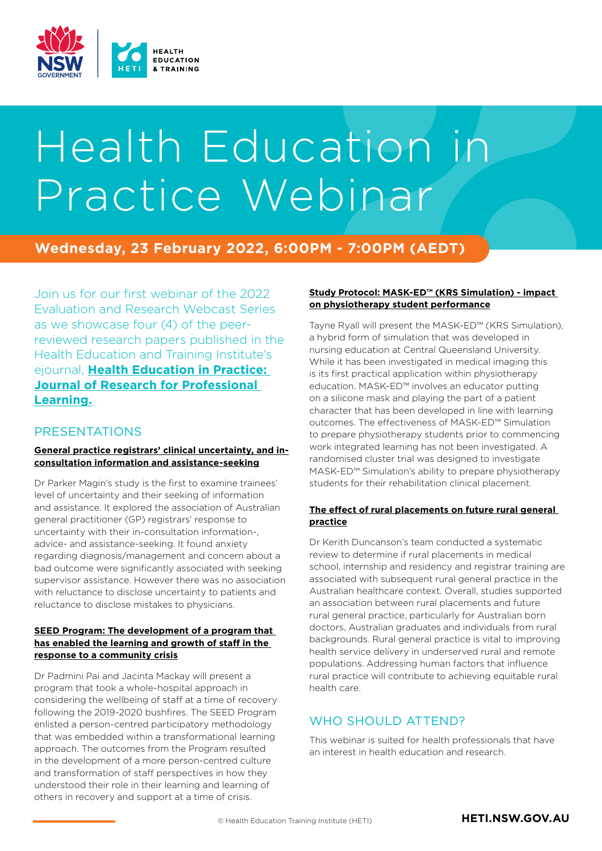

# Health Education in Practice Webinar

# **Wednesday, 23 February 2022, 6:00PM - 7:00PM (AEDT)**

Join us for our first webinar of the 2022 Evaluation and Research Webcast Series as we showcase four (4) of the peerreviewed research papers published in the Health Education and Training Institute's ejournal, **[Health Education in Practice:](https://openjournals.library.sydney.edu.au/index.php/HEP/index)  [Journal of Research for Professional](https://openjournals.library.sydney.edu.au/index.php/HEP/index)  [Learning.](https://openjournals.library.sydney.edu.au/index.php/HEP/index)**

#### PRESENTATIONS

#### **[General practice registrars' clinical uncertainty, and in](https://openjournals.library.sydney.edu.au/index.php/HEP/article/view/14765)[consultation information and assistance-seeking](https://openjournals.library.sydney.edu.au/index.php/HEP/article/view/14765)**

Dr Parker Magin's study is the first to examine trainees' level of uncertainty and their seeking of information and assistance. It explored the association of Australian general practitioner (GP) registrars' response to uncertainty with their in-consultation information-, advice- and assistance-seeking. It found anxiety regarding diagnosis/management and concern about a bad outcome were significantly associated with seeking supervisor assistance. However there was no association with reluctance to disclose uncertainty to patients and reluctance to disclose mistakes to physicians.

#### **[SEED Program: The development of a program that](https://openjournals.library.sydney.edu.au/index.php/HEP/article/view/14691)  [has enabled the learning and growth of staff in the](https://openjournals.library.sydney.edu.au/index.php/HEP/article/view/14691)  [response to a community crisis](https://openjournals.library.sydney.edu.au/index.php/HEP/article/view/14691)**

Dr Padmini Pai and Jacinta Mackay will present a program that took a whole-hospital approach in considering the wellbeing of staff at a time of recovery following the 2019-2020 bushfires. The SEED Program enlisted a person-centred participatory methodology that was embedded within a transformational learning approach. The outcomes from the Program resulted in the development of a more person-centred culture and transformation of staff perspectives in how they understood their role in their learning and learning of others in recovery and support at a time of crisis.

#### **[Study Protocol: MASK-ED™ \(KRS Simulation\) - impact](https://openjournals.library.sydney.edu.au/index.php/HEP/article/view/14276)  [on physiotherapy student performance](https://openjournals.library.sydney.edu.au/index.php/HEP/article/view/14276)**

Tayne Ryall will present the MASK-ED™ (KRS Simulation), a hybrid form of simulation that was developed in nursing education at Central Queensland University. While it has been investigated in medical imaging this is its first practical application within physiotherapy education. MASK-ED™ involves an educator putting on a silicone mask and playing the part of a patient character that has been developed in line with learning outcomes. The effectiveness of MASK-ED™ Simulation to prepare physiotherapy students prior to commencing work integrated learning has not been investigated. A randomised cluster trial was designed to investigate MASK-ED™ Simulation's ability to prepare physiotherapy students for their rehabilitation clinical placement.

#### **[The effect of rural placements on future rural general](https://openjournals.library.sydney.edu.au/index.php/HEP/article/view/14798)  [practice](https://openjournals.library.sydney.edu.au/index.php/HEP/article/view/14798)**

Dr Kerith Duncanson's team conducted a systematic review to determine if rural placements in medical school, internship and residency and registrar training are associated with subsequent rural general practice in the Australian healthcare context. Overall, studies supported an association between rural placements and future rural general practice, particularly for Australian born doctors, Australian graduates and individuals from rural backgrounds. Rural general practice is vital to improving health service delivery in underserved rural and remote populations. Addressing human factors that influence rural practice will contribute to achieving equitable rural health care.

# WHO SHOULD ATTEND?

This webinar is suited for health professionals that have an interest in health education and research.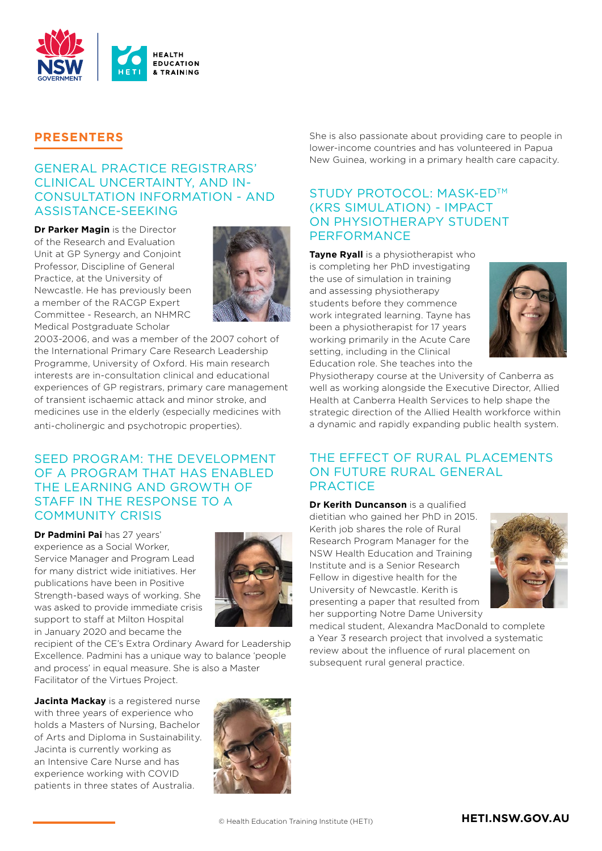

### **PRESENTERS**

#### GENERAL PRACTICE REGISTRARS' CLINICAL UNCERTAINTY, AND IN-CONSULTATION INFORMATION - AND ASSISTANCE-SEEKING

**Dr Parker Magin** is the Director of the Research and Evaluation Unit at GP Synergy and Conjoint Professor, Discipline of General Practice, at the University of Newcastle. He has previously been a member of the RACGP Expert Committee - Research, an NHMRC Medical Postgraduate Scholar



2003-2006, and was a member of the 2007 cohort of the International Primary Care Research Leadership Programme, University of Oxford. His main research interests are in-consultation clinical and educational experiences of GP registrars, primary care management of transient ischaemic attack and minor stroke, and medicines use in the elderly (especially medicines with anti-cholinergic and psychotropic properties).

#### SEED PROGRAM: THE DEVELOPMENT OF A PROGRAM THAT HAS ENABLED THE LEARNING AND GROWTH OF STAFF IN THE RESPONSE TO A COMMUNITY CRISIS

**Dr Padmini Pai** has 27 years' experience as a Social Worker, Service Manager and Program Lead for many district wide initiatives. Her publications have been in Positive Strength-based ways of working. She was asked to provide immediate crisis support to staff at Milton Hospital in January 2020 and became the



recipient of the CE's Extra Ordinary Award for Leadership Excellence. Padmini has a unique way to balance 'people and process' in equal measure. She is also a Master Facilitator of the Virtues Project.

**Jacinta Mackay** is a registered nurse with three years of experience who holds a Masters of Nursing, Bachelor of Arts and Diploma in Sustainability. Jacinta is currently working as an Intensive Care Nurse and has experience working with COVID patients in three states of Australia.



She is also passionate about providing care to people in lower-income countries and has volunteered in Papua New Guinea, working in a primary health care capacity.

### STUDY PROTOCOL: MASK-ED™ (KRS SIMULATION) - IMPACT ON PHYSIOTHERAPY STUDENT PERFORMANCE

**Tayne Ryall** is a physiotherapist who is completing her PhD investigating the use of simulation in training and assessing physiotherapy students before they commence work integrated learning. Tayne has been a physiotherapist for 17 years working primarily in the Acute Care setting, including in the Clinical Education role. She teaches into the



Physiotherapy course at the University of Canberra as well as working alongside the Executive Director, Allied Health at Canberra Health Services to help shape the strategic direction of the Allied Health workforce within a dynamic and rapidly expanding public health system.

#### THE EFFECT OF RURAL PLACEMENTS ON FUTURE RURAL GENERAL **PRACTICE**

**Dr Kerith Duncanson** is a qualified dietitian who gained her PhD in 2015. Kerith job shares the role of Rural Research Program Manager for the NSW Health Education and Training Institute and is a Senior Research Fellow in digestive health for the University of Newcastle. Kerith is presenting a paper that resulted from her supporting Notre Dame University



medical student, Alexandra MacDonald to complete a Year 3 research project that involved a systematic review about the influence of rural placement on subsequent rural general practice.